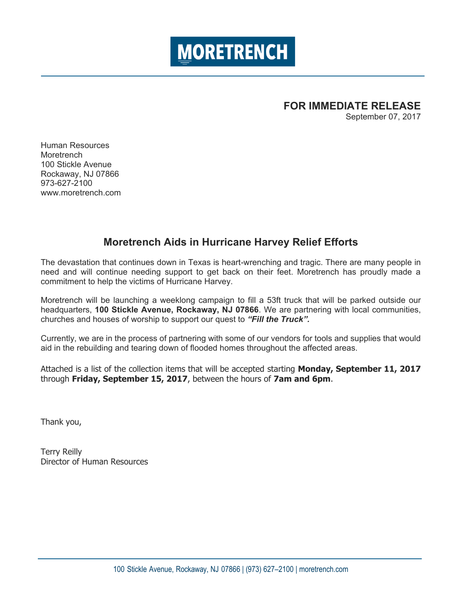

# **FOR IMMEDIATE RELEASE**

September 07, 2017

Human Resources **Moretrench** 100 Stickle Avenue Rockaway, NJ 07866 973-627-2100 www.moretrench.com

# **Moretrench Aids in Hurricane Harvey Relief Efforts**

The devastation that continues down in Texas is heart-wrenching and tragic. There are many people in need and will continue needing support to get back on their feet. Moretrench has proudly made a commitment to help the victims of Hurricane Harvey.

Moretrench will be launching a weeklong campaign to fill a 53ft truck that will be parked outside our headquarters, **100 Stickle Avenue, Rockaway, NJ 07866**. We are partnering with local communities, churches and houses of worship to support our quest to *"Fill the Truck".*

Currently, we are in the process of partnering with some of our vendors for tools and supplies that would aid in the rebuilding and tearing down of flooded homes throughout the affected areas.

Attached is a list of the collection items that will be accepted starting **Monday, September 11, 2017** through **Friday, September 15, 2017**, between the hours of **7am and 6pm**.

Thank you,

Terry Reilly Director of Human Resources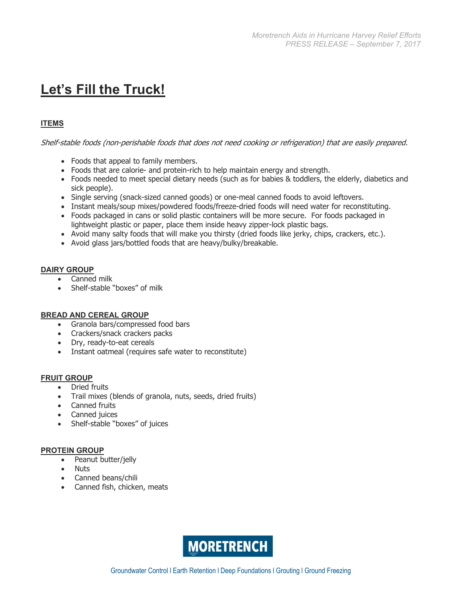# **Let's Fill the Truck!**

# **ITEMS**

Shelf-stable foods (non-perishable foods that does not need cooking or refrigeration) that are easily prepared.

- Foods that appeal to family members.
- Foods that are calorie- and protein-rich to help maintain energy and strength.
- Foods needed to meet special dietary needs (such as for babies & toddlers, the elderly, diabetics and sick people).
- Single serving (snack-sized canned goods) or one-meal canned foods to avoid leftovers.
- Instant meals/soup mixes/powdered foods/freeze-dried foods will need water for reconstituting.
- Foods packaged in cans or solid plastic containers will be more secure. For foods packaged in lightweight plastic or paper, place them inside heavy zipper-lock plastic bags.
- Avoid many salty foods that will make you thirsty (dried foods like jerky, chips, crackers, etc.).
- Avoid glass jars/bottled foods that are heavy/bulky/breakable.

# **DAIRY GROUP**

- Canned milk
- Shelf-stable "boxes" of milk

# **BREAD AND CEREAL GROUP**

- Granola bars/compressed food bars
- Crackers/snack crackers packs
- Dry, ready-to-eat cereals
- Instant oatmeal (requires safe water to reconstitute)

#### **FRUIT GROUP**

- Dried fruits
- Trail mixes (blends of granola, nuts, seeds, dried fruits)
- Canned fruits
- Canned juices
- Shelf-stable "boxes" of juices

#### **PROTEIN GROUP**

- Peanut butter/jelly
- Nuts
- Canned beans/chili
- Canned fish, chicken, meats